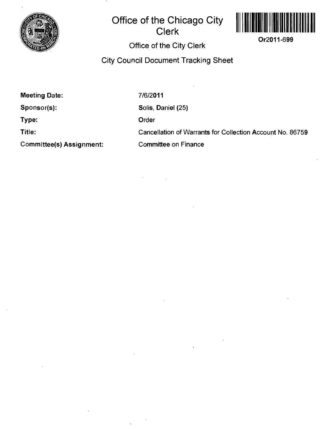

## **Office of the Chicago City Clerk**



**Office of the City Clerk** 

**City Council Document Tracking Sheet** 

**Meeting Date:** 

**Sponsor(s):** 

**Type:** 

**Title:** 

**Commlttee(s) Assignment:** 

7/6/2011 Solis, Daniel (25) Order Cancellation of Warrants for Collection Account No. 86759 Committee on Finance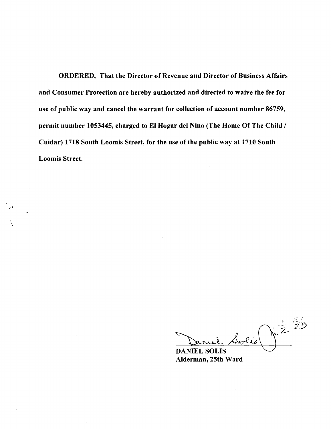**ORDERED, That the Director of Revenue and Director of Business Affairs and Consumer Protection are hereby authorized and directed to waive the fee for use of public way and cancel the warrant for collection of account number 86759, permit number 1053445, charged to EI Hogar del Nino (The Home Of The Child /**  Cuidar) 1718 South Loomis Street, for the use of the public way at 1710 South **Loomis Street.** 

 $\frac{2}{2}$ ,  $\frac{23}{2}$ 

**DANIEL SOLIS Alderman, 25th Ward**